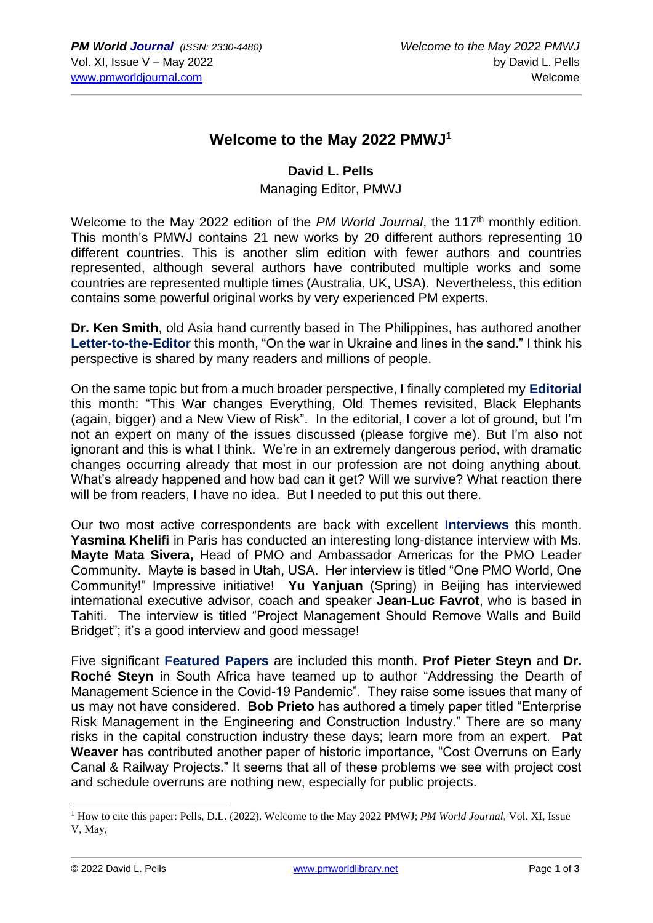## **Welcome to the May 2022 PMWJ<sup>1</sup>**

## **David L. Pells**

## Managing Editor, PMWJ

Welcome to the May 2022 edition of the PM World Journal, the 117<sup>th</sup> monthly edition. This month's PMWJ contains 21 new works by 20 different authors representing 10 different countries. This is another slim edition with fewer authors and countries represented, although several authors have contributed multiple works and some countries are represented multiple times (Australia, UK, USA). Nevertheless, this edition contains some powerful original works by very experienced PM experts.

**Dr. Ken Smith**, old Asia hand currently based in The Philippines, has authored another **Letter-to-the-Editor** this month, "On the war in Ukraine and lines in the sand." I think his perspective is shared by many readers and millions of people.

On the same topic but from a much broader perspective, I finally completed my **Editorial**  this month: "This War changes Everything, Old Themes revisited, Black Elephants (again, bigger) and a New View of Risk". In the editorial, I cover a lot of ground, but I'm not an expert on many of the issues discussed (please forgive me). But I'm also not ignorant and this is what I think. We're in an extremely dangerous period, with dramatic changes occurring already that most in our profession are not doing anything about. What's already happened and how bad can it get? Will we survive? What reaction there will be from readers, I have no idea. But I needed to put this out there.

Our two most active correspondents are back with excellent **Interviews** this month. **Yasmina Khelifi** in Paris has conducted an interesting long-distance interview with Ms. **Mayte Mata Sivera,** Head of PMO and Ambassador Americas for the PMO Leader Community. Mayte is based in Utah, USA. Her interview is titled "One PMO World, One Community!" Impressive initiative! **Yu Yanjuan** (Spring) in Beijing has interviewed international executive advisor, coach and speaker **Jean-Luc Favrot**, who is based in Tahiti. The interview is titled "Project Management Should Remove Walls and Build Bridget"; it's a good interview and good message!

Five significant **Featured Papers** are included this month. **Prof Pieter Steyn** and **Dr. Roché Steyn** in South Africa have teamed up to author "Addressing the Dearth of Management Science in the Covid-19 Pandemic". They raise some issues that many of us may not have considered. **Bob Prieto** has authored a timely paper titled "Enterprise Risk Management in the Engineering and Construction Industry." There are so many risks in the capital construction industry these days; learn more from an expert. **Pat Weaver** has contributed another paper of historic importance, "Cost Overruns on Early Canal & Railway Projects." It seems that all of these problems we see with project cost and schedule overruns are nothing new, especially for public projects.

<sup>&</sup>lt;sup>1</sup> How to cite this paper: Pells, D.L. (2022). Welcome to the May 2022 PMWJ; *PM World Journal*, Vol. XI, Issue V, May,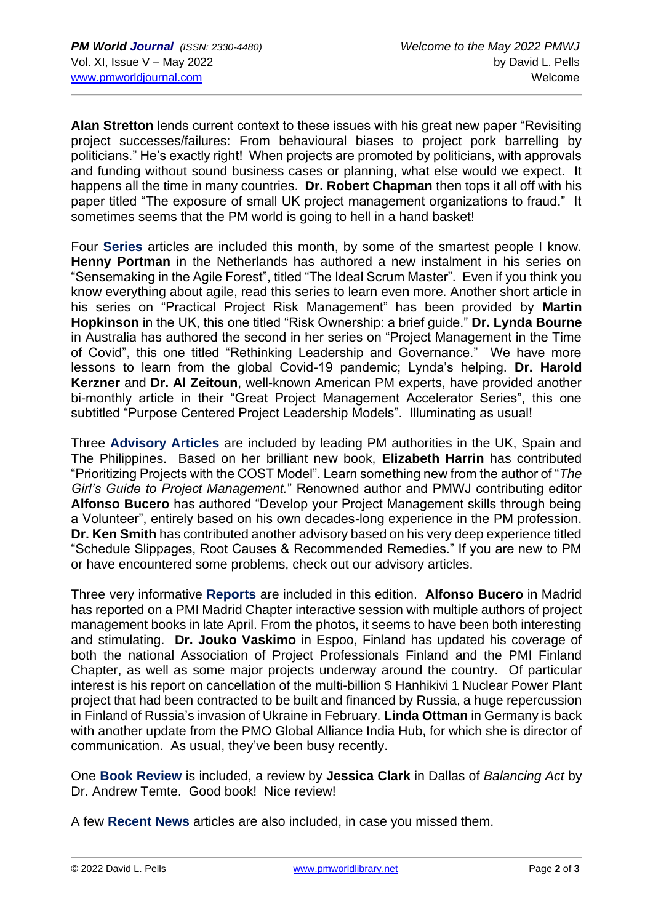**Alan Stretton** lends current context to these issues with his great new paper "Revisiting project successes/failures: From behavioural biases to project pork barrelling by politicians." He's exactly right! When projects are promoted by politicians, with approvals and funding without sound business cases or planning, what else would we expect. It happens all the time in many countries. **Dr. Robert Chapman** then tops it all off with his paper titled "The exposure of small UK project management organizations to fraud." It sometimes seems that the PM world is going to hell in a hand basket!

Four **Series** articles are included this month, by some of the smartest people I know. **Henny Portman** in the Netherlands has authored a new instalment in his series on "Sensemaking in the Agile Forest", titled "The Ideal Scrum Master". Even if you think you know everything about agile, read this series to learn even more. Another short article in his series on "Practical Project Risk Management" has been provided by **Martin Hopkinson** in the UK, this one titled "Risk Ownership: a brief guide." **Dr. Lynda Bourne** in Australia has authored the second in her series on "Project Management in the Time of Covid", this one titled "Rethinking Leadership and Governance." We have more lessons to learn from the global Covid-19 pandemic; Lynda's helping. **Dr. Harold Kerzner** and **Dr. Al Zeitoun**, well-known American PM experts, have provided another bi-monthly article in their "Great Project Management Accelerator Series", this one subtitled "Purpose Centered Project Leadership Models". Illuminating as usual!

Three **Advisory Articles** are included by leading PM authorities in the UK, Spain and The Philippines. Based on her brilliant new book, **Elizabeth Harrin** has contributed "Prioritizing Projects with the COST Model". Learn something new from the author of "*The Girl's Guide to Project Management.*" Renowned author and PMWJ contributing editor **Alfonso Bucero** has authored "Develop your Project Management skills through being a Volunteer", entirely based on his own decades-long experience in the PM profession. **Dr. Ken Smith** has contributed another advisory based on his very deep experience titled "Schedule Slippages, Root Causes & Recommended Remedies." If you are new to PM or have encountered some problems, check out our advisory articles.

Three very informative **Reports** are included in this edition. **Alfonso Bucero** in Madrid has reported on a PMI Madrid Chapter interactive session with multiple authors of project management books in late April. From the photos, it seems to have been both interesting and stimulating. **Dr. Jouko Vaskimo** in Espoo, Finland has updated his coverage of both the national Association of Project Professionals Finland and the PMI Finland Chapter, as well as some major projects underway around the country. Of particular interest is his report on cancellation of the multi-billion \$ Hanhikivi 1 Nuclear Power Plant project that had been contracted to be built and financed by Russia, a huge repercussion in Finland of Russia's invasion of Ukraine in February. **Linda Ottman** in Germany is back with another update from the PMO Global Alliance India Hub, for which she is director of communication. As usual, they've been busy recently.

One **Book Review** is included, a review by **Jessica Clark** in Dallas of *Balancing Act* by Dr. Andrew Temte. Good book! Nice review!

A few **Recent News** articles are also included, in case you missed them.